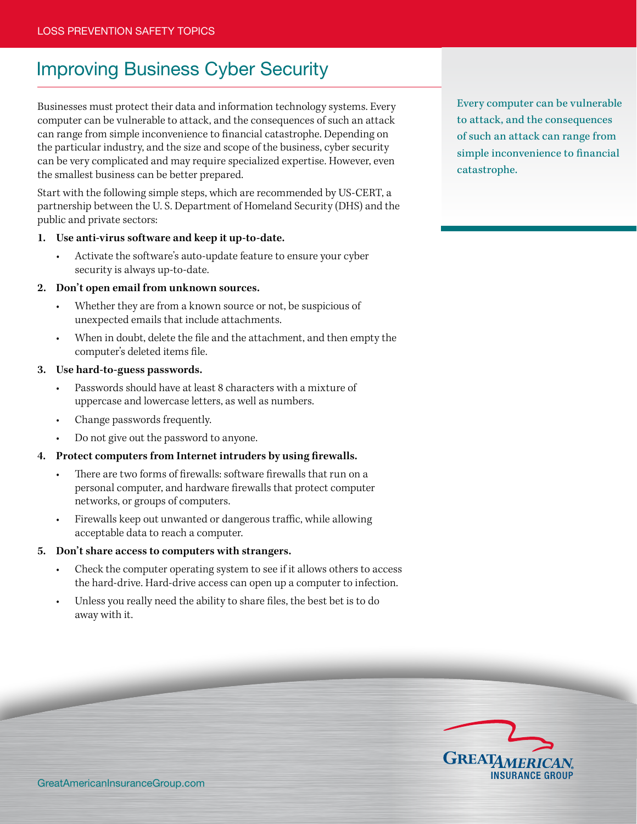# Improving Business Cyber Security

Businesses must protect their data and information technology systems. Every computer can be vulnerable to attack, and the consequences of such an attack can range from simple inconvenience to financial catastrophe. Depending on the particular industry, and the size and scope of the business, cyber security can be very complicated and may require specialized expertise. However, even the smallest business can be better prepared.

Start with the following simple steps, which are recommended by US-CERT, a partnership between the U. S. Department of Homeland Security (DHS) and the public and private sectors:

# **1. Use anti-virus software and keep it up-to-date.**

Activate the software's auto-update feature to ensure your cyber security is always up-to-date.

#### **2. Don't open email from unknown sources.**

- Whether they are from a known source or not, be suspicious of unexpected emails that include attachments.
- When in doubt, delete the file and the attachment, and then empty the computer's deleted items file.

#### **3. Use hard-to-guess passwords.**

- Passwords should have at least 8 characters with a mixture of uppercase and lowercase letters, as well as numbers.
- Change passwords frequently.
- Do not give out the password to anyone.

# **4. Protect computers from Internet intruders by using firewalls.**

- There are two forms of firewalls: software firewalls that run on a personal computer, and hardware firewalls that protect computer networks, or groups of computers.
- Firewalls keep out unwanted or dangerous traffic, while allowing acceptable data to reach a computer.

#### **5. Don't share access to computers with strangers.**

- Check the computer operating system to see if it allows others to access the hard-drive. Hard-drive access can open up a computer to infection.
- Unless you really need the ability to share files, the best bet is to do away with it.

Every computer can be vulnerable to attack, and the consequences of such an attack can range from simple inconvenience to financial catastrophe.